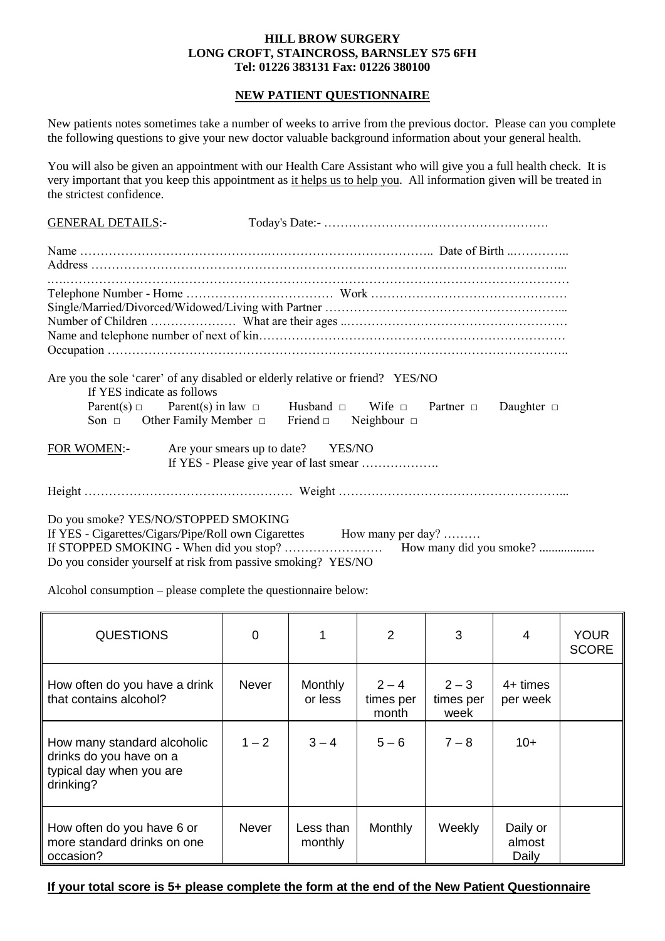### **HILL BROW SURGERY LONG CROFT, STAINCROSS, BARNSLEY S75 6FH Tel: 01226 383131 Fax: 01226 380100**

### **NEW PATIENT QUESTIONNAIRE**

New patients notes sometimes take a number of weeks to arrive from the previous doctor. Please can you complete the following questions to give your new doctor valuable background information about your general health.

You will also be given an appointment with our Health Care Assistant who will give you a full health check. It is very important that you keep this appointment as it helps us to help you. All information given will be treated in the strictest confidence.

| <b>GENERAL DETAILS:-</b>   |                                                                                                                                                                                                                                                              |  |  |
|----------------------------|--------------------------------------------------------------------------------------------------------------------------------------------------------------------------------------------------------------------------------------------------------------|--|--|
|                            |                                                                                                                                                                                                                                                              |  |  |
|                            |                                                                                                                                                                                                                                                              |  |  |
|                            |                                                                                                                                                                                                                                                              |  |  |
| If YES indicate as follows | Are you the sole 'carer' of any disabled or elderly relative or friend? YES/NO<br>Parent(s) $\Box$ Parent(s) in law $\Box$ Husband $\Box$ Wife $\Box$ Partner $\Box$ Daughter $\Box$<br>Son $\Box$ Other Family Member $\Box$ Friend $\Box$ Neighbour $\Box$ |  |  |
| FOR WOMEN:-                | Are your smears up to date? YES/NO                                                                                                                                                                                                                           |  |  |
|                            |                                                                                                                                                                                                                                                              |  |  |
|                            | Do you smoke? YES/NO/STOPPED SMOKING<br>If YES - Cigarettes/Cigars/Pipe/Roll own Cigarettes How many per day?<br>Do you consider yourself at risk from passive smoking? YES/NO                                                                               |  |  |

Alcohol consumption – please complete the questionnaire below:

| <b>QUESTIONS</b>                                                                                | $\Omega$     | 1                    | $\overline{2}$                | 3                            | 4                           | <b>YOUR</b><br><b>SCORE</b> |
|-------------------------------------------------------------------------------------------------|--------------|----------------------|-------------------------------|------------------------------|-----------------------------|-----------------------------|
| How often do you have a drink<br>that contains alcohol?                                         | <b>Never</b> | Monthly<br>or less   | $2 - 4$<br>times per<br>month | $2 - 3$<br>times per<br>week | $4+$ times<br>per week      |                             |
| How many standard alcoholic<br>drinks do you have on a<br>typical day when you are<br>drinking? | $1 - 2$      | $3 - 4$              | $5 - 6$                       | $7 - 8$                      | $10+$                       |                             |
| How often do you have 6 or<br>more standard drinks on one<br>occasion?                          | <b>Never</b> | Less than<br>monthly | Monthly                       | Weekly                       | Daily or<br>almost<br>Daily |                             |

## **If your total score is 5+ please complete the form at the end of the New Patient Questionnaire**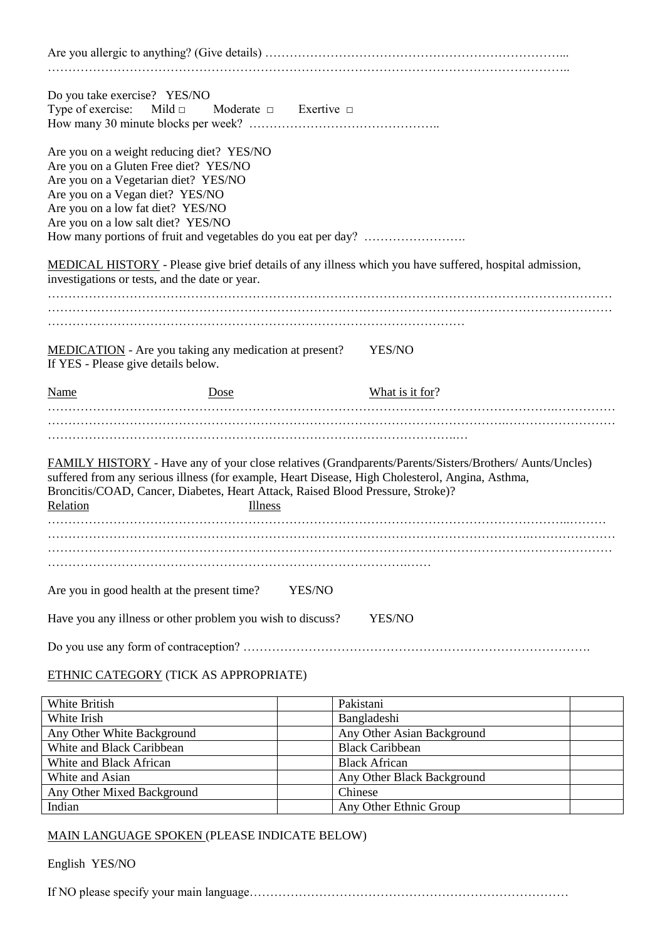| Do you take exercise? YES/NO                                                                                                                                                                                                             | Type of exercise: Mild $\Box$ Moderate $\Box$ Exertive $\Box$                              |                                                                                                                                                                                                                    |  |
|------------------------------------------------------------------------------------------------------------------------------------------------------------------------------------------------------------------------------------------|--------------------------------------------------------------------------------------------|--------------------------------------------------------------------------------------------------------------------------------------------------------------------------------------------------------------------|--|
| Are you on a weight reducing diet? YES/NO<br>Are you on a Gluten Free diet? YES/NO<br>Are you on a Vegetarian diet? YES/NO<br>Are you on a Vegan diet? YES/NO<br>Are you on a low fat diet? YES/NO<br>Are you on a low salt diet? YES/NO | How many portions of fruit and vegetables do you eat per day?                              |                                                                                                                                                                                                                    |  |
| investigations or tests, and the date or year.                                                                                                                                                                                           |                                                                                            | MEDICAL HISTORY - Please give brief details of any illness which you have suffered, hospital admission,                                                                                                            |  |
| If YES - Please give details below.                                                                                                                                                                                                      | <b>MEDICATION</b> - Are you taking any medication at present?                              | YES/NO                                                                                                                                                                                                             |  |
| <b>Name</b>                                                                                                                                                                                                                              | Dose                                                                                       | What is it for?                                                                                                                                                                                                    |  |
| Relation                                                                                                                                                                                                                                 | Broncitis/COAD, Cancer, Diabetes, Heart Attack, Raised Blood Pressure, Stroke)?<br>Illness | <b>FAMILY HISTORY</b> - Have any of your close relatives (Grandparents/Parents/Sisters/Brothers/ Aunts/Uncles)<br>suffered from any serious illness (for example, Heart Disease, High Cholesterol, Angina, Asthma, |  |
|                                                                                                                                                                                                                                          |                                                                                            |                                                                                                                                                                                                                    |  |
| Are you in good health at the present time?                                                                                                                                                                                              | YES/NO<br>Have you any illness or other problem you wish to discuss?                       | YES/NO                                                                                                                                                                                                             |  |
|                                                                                                                                                                                                                                          |                                                                                            |                                                                                                                                                                                                                    |  |
|                                                                                                                                                                                                                                          | ETHNIC CATEGORY (TICK AS APPROPRIATE)                                                      |                                                                                                                                                                                                                    |  |
| White British                                                                                                                                                                                                                            |                                                                                            | Pakistani                                                                                                                                                                                                          |  |
| White Irish                                                                                                                                                                                                                              |                                                                                            | Bangladeshi                                                                                                                                                                                                        |  |
| Any Other White Background                                                                                                                                                                                                               |                                                                                            | Any Other Asian Background                                                                                                                                                                                         |  |
| White and Black Caribbean                                                                                                                                                                                                                |                                                                                            | <b>Black Caribbean</b>                                                                                                                                                                                             |  |
| White and Black African                                                                                                                                                                                                                  |                                                                                            | <b>Black African</b>                                                                                                                                                                                               |  |
| White and Asian                                                                                                                                                                                                                          |                                                                                            | Any Other Black Background                                                                                                                                                                                         |  |
| Any Other Mixed Background                                                                                                                                                                                                               |                                                                                            | Chinese                                                                                                                                                                                                            |  |

## MAIN LANGUAGE SPOKEN (PLEASE INDICATE BELOW)

Indian Any Other Ethnic Group

English YES/NO

If NO please specify your main language……………………………………………………………………